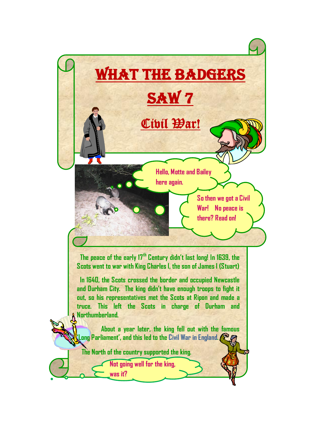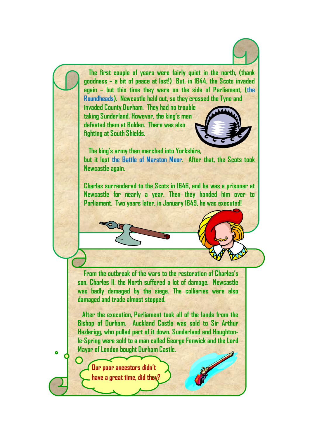**The first couple of years were fairly quiet in the north, (thank goodness – a bit of peace at last!) But, in 1644, the Scots invaded again – but this time they were on the side of Parliament, (the Roundheads). Newcastle held out, so they crossed the Tyne and**

**invaded County Durham. They had no trouble taking Sunderland. However, the king's men defeated them at Bolden. There was also fighting at South Shields.** 



 **The king's army then marched into Yorkshire, but it lost the Battle of Marston Moor. After that, the Scots took Newcastle again.** 

**Charles surrendered to the Scots in 1646, and he was a prisoner at Newcastle for nearly a year. Then they handed him over to Parliament. Two years later, in January 1649, he was executed!**

 **From the outbreak of the wars to the restoration of Charles's son, Charles II, the North suffered a lot of damage. Newcastle was badly damaged by the siege. The collieries were also damaged and trade almost stopped.**

 **After the execution, Parliament took all of the lands from the Bishop of Durham. Auckland Castle was sold to Sir Arthur Hazlerigg, who pulled part of it down. Sunderland and Houghtonle-Spring were sold to a man called George Fenwick and the Lord Mayor of London bought Durham Castle.**

**Our poor ancestors didn't have a great time, did they?**

 $\ddot{\bullet}$